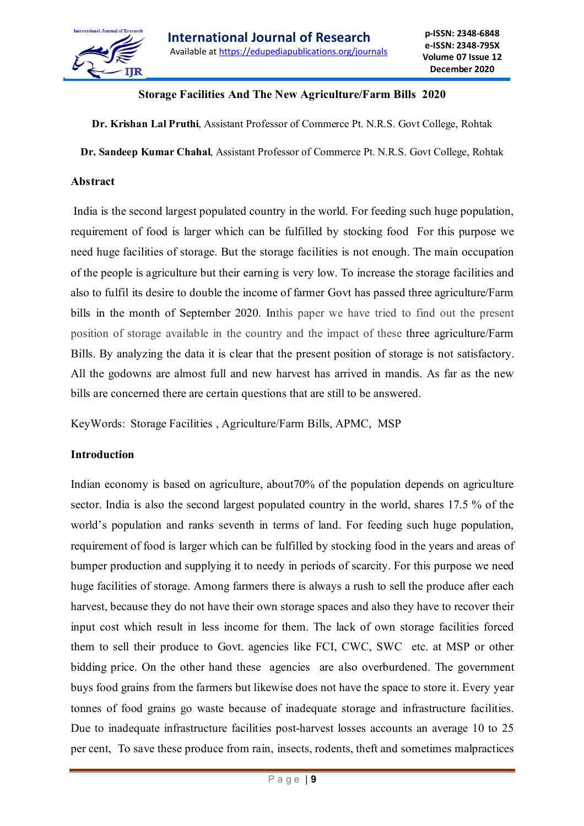

## **Storage Facilities And The New Agriculture/Farm Bills 2020**

**Dr. Krishan Lal Pruthi**, Assistant Professor of Commerce Pt. N.R.S. Govt College, Rohtak

**Dr. Sandeep Kumar Chahal**, Assistant Professor of Commerce Pt. N.R.S. Govt College, Rohtak

### **Abstract**

India is the second largest populated country in the world. For feeding such huge population, requirement of food is larger which can be fulfilled by stocking food For this purpose we need huge facilities of storage. But the storage facilities is not enough. The main occupation of the people is agriculture but their earning is very low. To increase the storage facilities and also to fulfil its desire to double the income of farmer Govt has passed three agriculture/Farm bills in the month of September 2020. Inthis paper we have tried to find out the present position of storage available in the country and the impact of these three agriculture/Farm Bills. By analyzing the data it is clear that the present position of storage is not satisfactory. All the godowns are almost full and new harvest has arrived in mandis. As far as the new bills are concerned there are certain questions that are still to be answered.

KeyWords: Storage Facilities , Agriculture/Farm Bills, APMC, MSP

#### **Introduction**

Indian economy is based on agriculture, about70% of the population depends on agriculture sector. India is also the second largest populated country in the world, shares 17.5 % of the world's population and ranks seventh in terms of land. For feeding such huge population, requirement of food is larger which can be fulfilled by stocking food in the years and areas of bumper production and supplying it to needy in periods of scarcity. For this purpose we need huge facilities of storage. Among farmers there is always a rush to sell the produce after each harvest, because they do not have their own storage spaces and also they have to recover their input cost which result in less income for them. The lack of own storage facilities forced them to sell their produce to Govt. agencies like FCI, CWC, SWC etc. at MSP or other bidding price. On the other hand these agencies are also overburdened. The government buys food grains from the farmers but likewise does not have the space to store it. Every year tonnes of food grains go waste because of inadequate storage and infrastructure facilities. Due to inadequate infrastructure facilities post-harvest losses accounts an average 10 to 25 per cent, To save these produce from rain, insects, rodents, theft and sometimes malpractices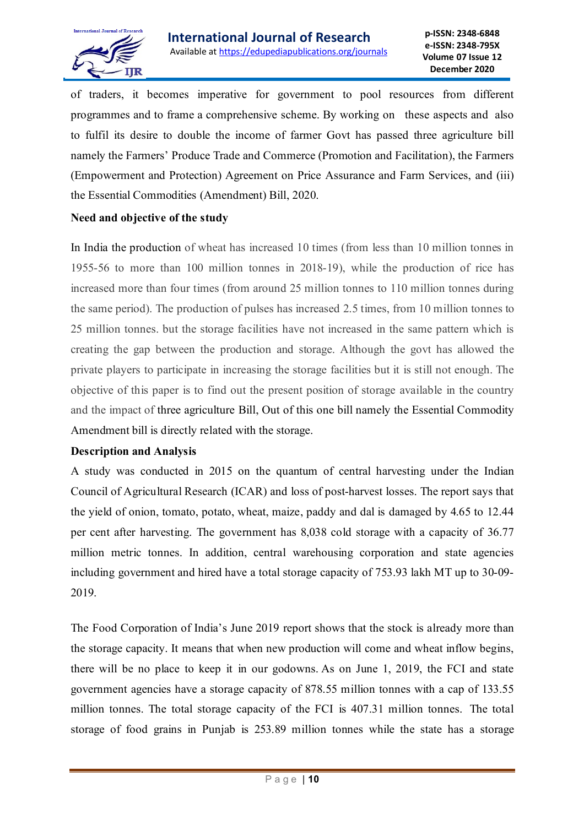

of traders, it becomes imperative for government to pool resources from different programmes and to frame a comprehensive scheme. By working on these aspects and also to fulfil its desire to double the income of farmer Govt has passed three agriculture bill namely the Farmers' Produce Trade and Commerce (Promotion and Facilitation), the Farmers (Empowerment and Protection) Agreement on Price Assurance and Farm Services, and (iii) the Essential Commodities (Amendment) Bill, 2020.

## **Need and objective of the study**

In India the production of wheat has increased 10 times (from less than 10 million tonnes in 1955-56 to more than 100 million tonnes in 2018-19), while the production of rice has increased more than four times (from around 25 million tonnes to 110 million tonnes during the same period). The production of pulses has increased 2.5 times, from 10 million tonnes to 25 million tonnes. but the storage facilities have not increased in the same pattern which is creating the gap between the production and storage. Although the govt has allowed the private players to participate in increasing the storage facilities but it is still not enough. The objective of this paper is to find out the present position of storage available in the country and the impact of three agriculture Bill, Out of this one bill namely the Essential Commodity Amendment bill is directly related with the storage.

### **Description and Analysis**

A study was conducted in 2015 on the quantum of central harvesting under the Indian Council of Agricultural Research (ICAR) and loss of post-harvest losses. The report says that the yield of onion, tomato, potato, wheat, maize, paddy and dal is damaged by 4.65 to 12.44 per cent after harvesting. The government has 8,038 cold storage with a capacity of 36.77 million metric tonnes. In addition, central warehousing corporation and state agencies including government and hired have a total storage capacity of 753.93 lakh MT up to 30-09- 2019.

The Food Corporation of India's June 2019 report shows that the stock is already more than the storage capacity. It means that when new production will come and wheat inflow begins, there will be no place to keep it in our godowns. As on June 1, 2019, the FCI and state government agencies have a storage capacity of 878.55 million tonnes with a cap of 133.55 million tonnes. The total storage capacity of the FCI is 407.31 million tonnes. The total storage of food grains in Punjab is 253.89 million tonnes while the state has a storage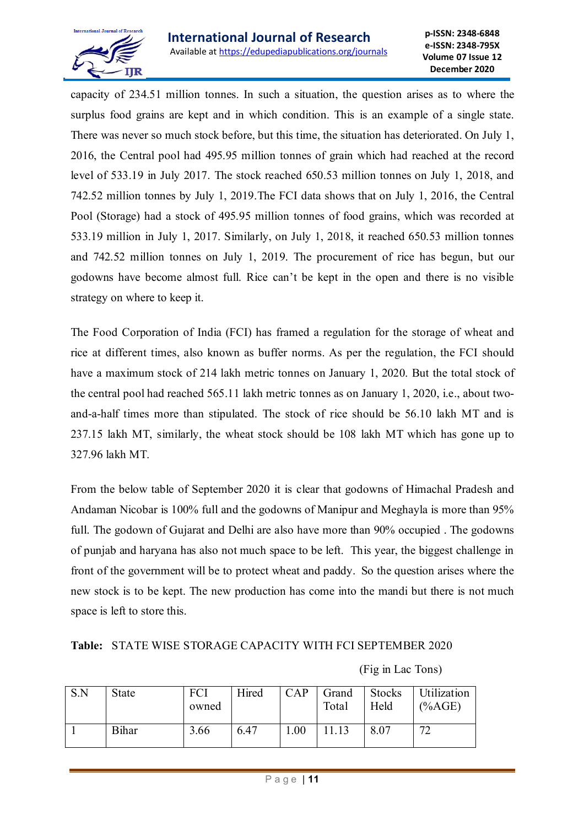

capacity of 234.51 million tonnes. In such a situation, the question arises as to where the surplus food grains are kept and in which condition. This is an example of a single state. There was never so much stock before, but this time, the situation has deteriorated. On July 1, 2016, the Central pool had 495.95 million tonnes of grain which had reached at the record level of 533.19 in July 2017. The stock reached 650.53 million tonnes on July 1, 2018, and 742.52 million tonnes by July 1, 2019.The FCI data shows that on July 1, 2016, the Central Pool (Storage) had a stock of 495.95 million tonnes of food grains, which was recorded at 533.19 million in July 1, 2017. Similarly, on July 1, 2018, it reached 650.53 million tonnes and 742.52 million tonnes on July 1, 2019. The procurement of rice has begun, but our godowns have become almost full. Rice can't be kept in the open and there is no visible strategy on where to keep it.

The Food Corporation of India (FCI) has framed a regulation for the storage of wheat and rice at different times, also known as buffer norms. As per the regulation, the FCI should have a maximum stock of 214 lakh metric tonnes on January 1, 2020. But the total stock of the central pool had reached 565.11 lakh metric tonnes as on January 1, 2020, i.e., about twoand-a-half times more than stipulated. The stock of rice should be 56.10 lakh MT and is 237.15 lakh MT, similarly, the wheat stock should be 108 lakh MT which has gone up to 327.96 lakh MT.

From the below table of September 2020 it is clear that godowns of Himachal Pradesh and Andaman Nicobar is 100% full and the godowns of Manipur and Meghayla is more than 95% full. The godown of Gujarat and Delhi are also have more than 90% occupied . The godowns of punjab and haryana has also not much space to be left. This year, the biggest challenge in front of the government will be to protect wheat and paddy. So the question arises where the new stock is to be kept. The new production has come into the mandi but there is not much space is left to store this.

|  |  |  |  | <b>Table: STATE WISE STORAGE CAPACITY WITH FCI SEPTEMBER 2020</b> |  |
|--|--|--|--|-------------------------------------------------------------------|--|
|--|--|--|--|-------------------------------------------------------------------|--|

| S.N | State        | FCI<br>owned | Hired | CAP | Grand<br>Total | Stocks<br>Held | Utilization<br>$(*6AGE)$ |
|-----|--------------|--------------|-------|-----|----------------|----------------|--------------------------|
|     | <b>Bihar</b> | 3.66         | 6.47  | .00 | .13            | 8.07           | 72                       |

### (Fig in Lac Tons)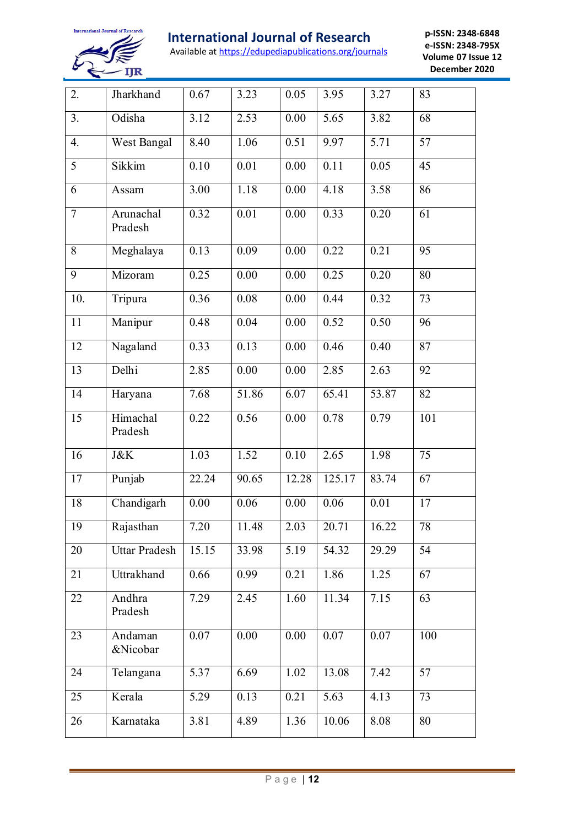

# **International Journal of Research**

Available at https://edupediapublications.org/journals

**p-ISSN: 2348-6848 e-ISSN: 2348-795X Volume 07 Issue 12 December 2020**

| 2.             | Jharkhand            | 0.67              | 3.23  | 0.05  | 3.95   | 3.27  | 83              |
|----------------|----------------------|-------------------|-------|-------|--------|-------|-----------------|
| 3.             | Odisha               | 3.12              | 2.53  | 0.00  | 5.65   | 3.82  | 68              |
| 4.             | West Bangal          | 8.40              | 1.06  | 0.51  | 9.97   | 5.71  | 57              |
| 5              | Sikkim               | 0.10              | 0.01  | 0.00  | 0.11   | 0.05  | 45              |
| 6              | Assam                | 3.00              | 1.18  | 0.00  | 4.18   | 3.58  | $\overline{86}$ |
| $\overline{7}$ | Arunachal<br>Pradesh | 0.32              | 0.01  | 0.00  | 0.33   | 0.20  | 61              |
| 8              | Meghalaya            | 0.13              | 0.09  | 0.00  | 0.22   | 0.21  | $\overline{95}$ |
| 9              | Mizoram              | 0.25              | 0.00  | 0.00  | 0.25   | 0.20  | 80              |
| 10.            | Tripura              | 0.36              | 0.08  | 0.00  | 0.44   | 0.32  | 73              |
| 11             | Manipur              | 0.48              | 0.04  | 0.00  | 0.52   | 0.50  | 96              |
| 12             | Nagaland             | 0.33              | 0.13  | 0.00  | 0.46   | 0.40  | 87              |
| 13             | Delhi                | 2.85              | 0.00  | 0.00  | 2.85   | 2.63  | 92              |
| 14             | Haryana              | 7.68              | 51.86 | 6.07  | 65.41  | 53.87 | 82              |
| 15             | Himachal<br>Pradesh  | 0.22              | 0.56  | 0.00  | 0.78   | 0.79  | 101             |
| 16             | <b>J&amp;K</b>       | 1.03              | 1.52  | 0.10  | 2.65   | 1.98  | 75              |
| 17             | Punjab               | 22.24             | 90.65 | 12.28 | 125.17 | 83.74 | 67              |
| 18             | Chandigarh           | 0.00              | 0.06  | 0.00  | 0.06   | 0.01  | 17              |
| 19             | Rajasthan            | $\overline{7.20}$ | 11.48 | 2.03  | 20.71  | 16.22 | 78              |
| 20             | <b>Uttar Pradesh</b> | 15.15             | 33.98 | 5.19  | 54.32  | 29.29 | 54              |
| 21             | Uttrakhand           | 0.66              | 0.99  | 0.21  | 1.86   | 1.25  | 67              |
| 22             | Andhra<br>Pradesh    | 7.29              | 2.45  | 1.60  | 11.34  | 7.15  | 63              |
| 23             | Andaman<br>&Nicobar  | 0.07              | 0.00  | 0.00  | 0.07   | 0.07  | 100             |
| 24             | Telangana            | 5.37              | 6.69  | 1.02  | 13.08  | 7.42  | 57              |
| 25             | Kerala               | 5.29              | 0.13  | 0.21  | 5.63   | 4.13  | 73              |
| 26             | Karnataka            | 3.81              | 4.89  | 1.36  | 10.06  | 8.08  | 80              |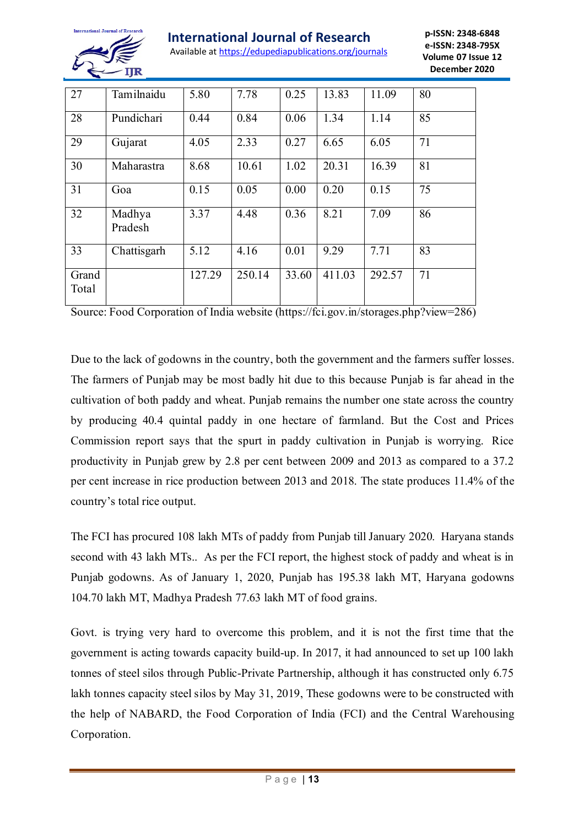

Available at https://edupediapublications.org/journals

**p-ISSN: 2348-6848 e-ISSN: 2348-795X Volume 07 Issue 12 December 2020**

| 27             | Tamilnaidu        | 5.80   | 7.78   | 0.25  | 13.83  | 11.09  | 80 |
|----------------|-------------------|--------|--------|-------|--------|--------|----|
| 28             | Pundichari        | 0.44   | 0.84   | 0.06  | 1.34   | 1.14   | 85 |
| 29             | Gujarat           | 4.05   | 2.33   | 0.27  | 6.65   | 6.05   | 71 |
| 30             | Maharastra        | 8.68   | 10.61  | 1.02  | 20.31  | 16.39  | 81 |
| 31             | Goa               | 0.15   | 0.05   | 0.00  | 0.20   | 0.15   | 75 |
| 32             | Madhya<br>Pradesh | 3.37   | 4.48   | 0.36  | 8.21   | 7.09   | 86 |
| 33             | Chattisgarh       | 5.12   | 4.16   | 0.01  | 9.29   | 7.71   | 83 |
| Grand<br>Total |                   | 127.29 | 250.14 | 33.60 | 411.03 | 292.57 | 71 |

Source: Food Corporation of India website (https://fci.gov.in/storages.php?view=286)

Due to the lack of godowns in the country, both the government and the farmers suffer losses. The farmers of Punjab may be most badly hit due to this because Punjab is far ahead in the cultivation of both paddy and wheat. Punjab remains the number one state across the country by producing 40.4 quintal paddy in one hectare of farmland. But the Cost and Prices Commission report says that the spurt in paddy cultivation in Punjab is worrying. Rice productivity in Punjab grew by 2.8 per cent between 2009 and 2013 as compared to a 37.2 per cent increase in rice production between 2013 and 2018. The state produces 11.4% of the country's total rice output.

The FCI has procured 108 lakh MTs of paddy from Punjab till January 2020. Haryana stands second with 43 lakh MTs.. As per the FCI report, the highest stock of paddy and wheat is in Punjab godowns. As of January 1, 2020, Punjab has 195.38 lakh MT, Haryana godowns 104.70 lakh MT, Madhya Pradesh 77.63 lakh MT of food grains.

Govt. is trying very hard to overcome this problem, and it is not the first time that the government is acting towards capacity build-up. In 2017, it had announced to set up 100 lakh tonnes of steel silos through Public-Private Partnership, although it has constructed only 6.75 lakh tonnes capacity steel silos by May 31, 2019, These godowns were to be constructed with the help of NABARD, the Food Corporation of India (FCI) and the Central Warehousing Corporation.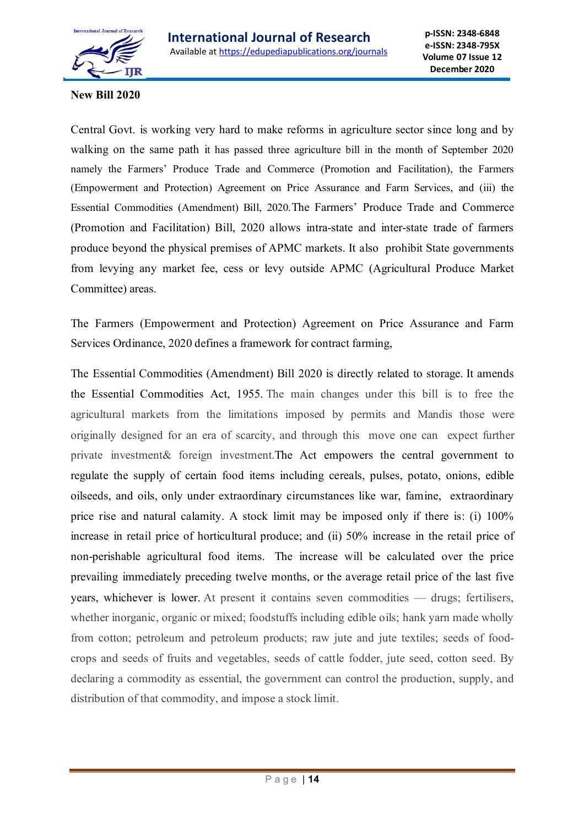

### **New Bill 2020**

Central Govt. is working very hard to make reforms in agriculture sector since long and by walking on the same path it has passed three agriculture bill in the month of September 2020 namely the Farmers' Produce Trade and Commerce (Promotion and Facilitation), the Farmers (Empowerment and Protection) Agreement on Price Assurance and Farm Services, and (iii) the Essential Commodities (Amendment) Bill, 2020.The Farmers' Produce Trade and Commerce (Promotion and Facilitation) Bill, 2020 allows intra-state and inter-state trade of farmers produce beyond the physical premises of APMC markets. It also prohibit State governments from levying any market fee, cess or levy outside APMC (Agricultural Produce Market Committee) areas.

The Farmers (Empowerment and Protection) Agreement on Price Assurance and Farm Services Ordinance, 2020 defines a framework for contract farming,

The Essential Commodities (Amendment) Bill 2020 is directly related to storage. It amends the Essential Commodities Act, 1955. The main changes under this bill is to free the agricultural markets from the limitations imposed by permits and Mandis those were originally designed for an era of scarcity, and through this move one can expect further private investment& foreign investment.The Act empowers the central government to regulate the supply of certain food items including cereals, pulses, potato, onions, edible oilseeds, and oils, only under extraordinary circumstances like war, famine, extraordinary price rise and natural calamity. A stock limit may be imposed only if there is: (i) 100% increase in retail price of horticultural produce; and (ii) 50% increase in the retail price of non-perishable agricultural food items. The increase will be calculated over the price prevailing immediately preceding twelve months, or the average retail price of the last five years, whichever is lower. At present it contains seven commodities — drugs; fertilisers, whether inorganic, organic or mixed; foodstuffs including edible oils; hank yarn made wholly from cotton; petroleum and petroleum products; raw jute and jute textiles; seeds of foodcrops and seeds of fruits and vegetables, seeds of cattle fodder, jute seed, cotton seed. By declaring a commodity as essential, the government can control the production, supply, and distribution of that commodity, and impose a stock limit.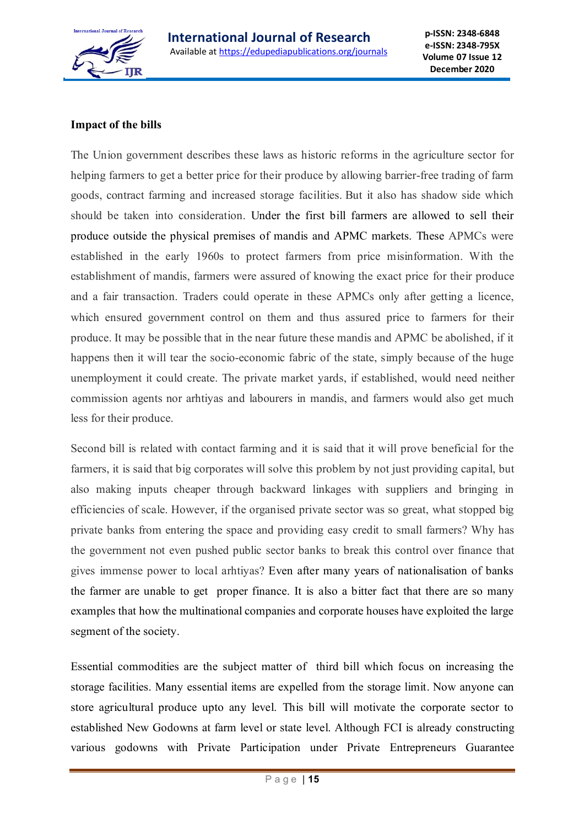

# **Impact of the bills**

The Union government describes these laws as historic reforms in the agriculture sector for helping farmers to get a better price for their produce by allowing barrier-free trading of farm goods, contract farming and increased storage facilities. But it also has shadow side which should be taken into consideration. Under the first bill farmers are allowed to sell their produce outside the physical premises of mandis and APMC markets. These APMCs were established in the early 1960s to protect farmers from price misinformation. With the establishment of mandis, farmers were assured of knowing the exact price for their produce and a fair transaction. Traders could operate in these APMCs only after getting a licence, which ensured government control on them and thus assured price to farmers for their produce. It may be possible that in the near future these mandis and APMC be abolished, if it happens then it will tear the socio-economic fabric of the state, simply because of the huge unemployment it could create. The private market yards, if established, would need neither commission agents nor arhtiyas and labourers in mandis, and farmers would also get much less for their produce.

Second bill is related with contact farming and it is said that it will prove beneficial for the farmers, it is said that big corporates will solve this problem by not just providing capital, but also making inputs cheaper through backward linkages with suppliers and bringing in efficiencies of scale. However, if the organised private sector was so great, what stopped big private banks from entering the space and providing easy credit to small farmers? Why has the government not even pushed public sector banks to break this control over finance that gives immense power to local arhtiyas? Even after many years of nationalisation of banks the farmer are unable to get proper finance. It is also a bitter fact that there are so many examples that how the multinational companies and corporate houses have exploited the large segment of the society.

Essential commodities are the subject matter of third bill which focus on increasing the storage facilities. Many essential items are expelled from the storage limit. Now anyone can store agricultural produce upto any level. This bill will motivate the corporate sector to established New Godowns at farm level or state level. Although FCI is already constructing various godowns with Private Participation under Private Entrepreneurs Guarantee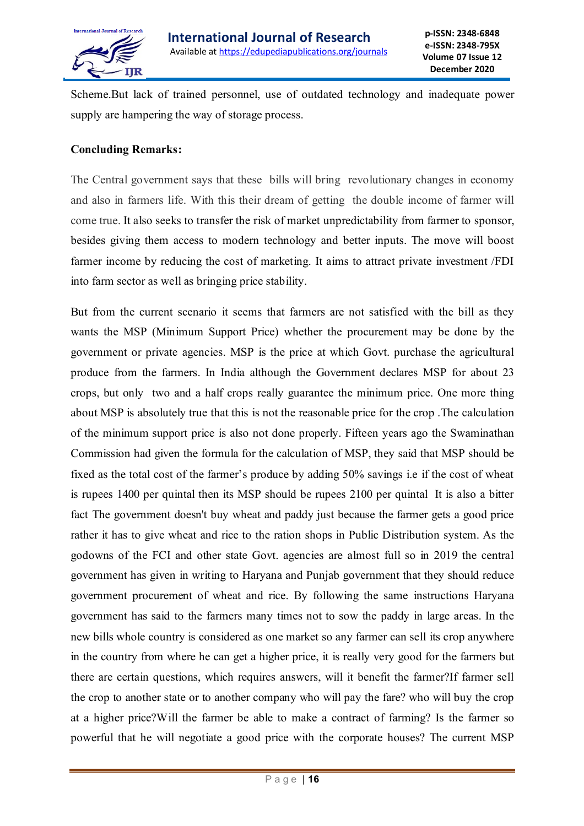

Scheme.But lack of trained personnel, use of outdated technology and inadequate power supply are hampering the way of storage process.

## **Concluding Remarks:**

The Central government says that these bills will bring revolutionary changes in economy and also in farmers life. With this their dream of getting the double income of farmer will come true. It also seeks to transfer the risk of market unpredictability from farmer to sponsor, besides giving them access to modern technology and better inputs. The move will boost farmer income by reducing the cost of marketing. It aims to attract private investment /FDI into farm sector as well as bringing price stability.

But from the current scenario it seems that farmers are not satisfied with the bill as they wants the MSP (Minimum Support Price) whether the procurement may be done by the government or private agencies. MSP is the price at which Govt. purchase the agricultural produce from the farmers. In India although the Government declares MSP for about 23 crops, but only two and a half crops really guarantee the minimum price. One more thing about MSP is absolutely true that this is not the reasonable price for the crop .The calculation of the minimum support price is also not done properly. Fifteen years ago the Swaminathan Commission had given the formula for the calculation of MSP, they said that MSP should be fixed as the total cost of the farmer's produce by adding 50% savings i.e if the cost of wheat is rupees 1400 per quintal then its MSP should be rupees 2100 per quintal It is also a bitter fact The government doesn't buy wheat and paddy just because the farmer gets a good price rather it has to give wheat and rice to the ration shops in Public Distribution system. As the godowns of the FCI and other state Govt. agencies are almost full so in 2019 the central government has given in writing to Haryana and Punjab government that they should reduce government procurement of wheat and rice. By following the same instructions Haryana government has said to the farmers many times not to sow the paddy in large areas. In the new bills whole country is considered as one market so any farmer can sell its crop anywhere in the country from where he can get a higher price, it is really very good for the farmers but there are certain questions, which requires answers, will it benefit the farmer?If farmer sell the crop to another state or to another company who will pay the fare? who will buy the crop at a higher price?Will the farmer be able to make a contract of farming? Is the farmer so powerful that he will negotiate a good price with the corporate houses? The current MSP